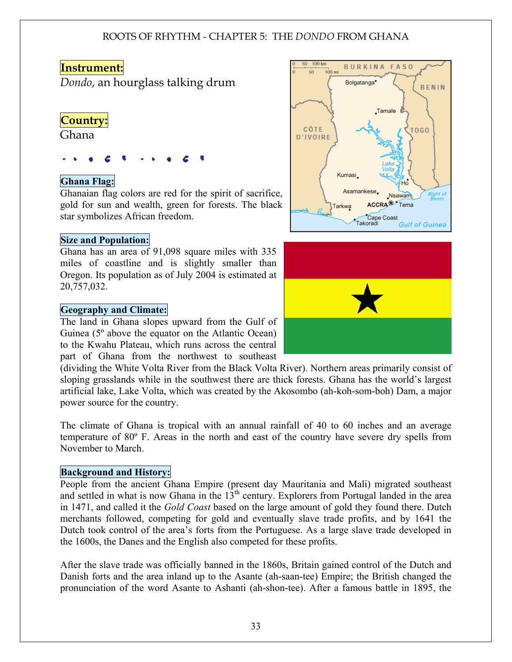#### **Instrument:**

*Dondo*, an hourglass talking drum

### **Country:**

Ghana

#### Ghana Flag:

Ghanaian flag colors are red for the spirit of sacrifice, gold for sun and wealth, green for forests. The black star symbolizes African freedom.

#### Size and Population:

Ghana has an area of 91,098 square miles with 335 miles of coastline and is slightly smaller than Oregon. Its population as of July 2004 is estimated at 20,757,032.

#### Geography and Climate:

The land in Ghana slopes upward from the Gulf of Guinea (5º above the equator on the Atlantic Ocean) to the Kwahu Plateau, which runs across the central part of Ghana from the northwest to southeast

(dividing the White Volta River from the Black Volta River). Northern areas primarily consist of sloping grasslands while in the southwest there are thick forests. Ghana has the world's largest artificial lake, Lake Volta, which was created by the Akosombo (ah-koh-som-boh) Dam, a major power source for the country.

The climate of Ghana is tropical with an annual rainfall of 40 to 60 inches and an average temperature of 80º F. Areas in the north and east of the country have severe dry spells from November to March.

#### Background and History:

People from the ancient Ghana Empire (present day Mauritania and Mali) migrated southeast and settled in what is now Ghana in the  $13<sup>th</sup>$  century. Explorers from Portugal landed in the area in 1471, and called it the *Gold Coast* based on the large amount of gold they found there. Dutch merchants followed, competing for gold and eventually slave trade profits, and by 1641 the Dutch took control of the area's forts from the Portuguese. As a large slave trade developed in the 1600s, the Danes and the English also competed for these profits.

After the slave trade was officially banned in the 1860s, Britain gained control of the Dutch and Danish forts and the area inland up to the Asante (ah-saan-tee) Empire; the British changed the pronunciation of the word Asante to Ashanti (ah-shon-tee). After a famous battle in 1895, the



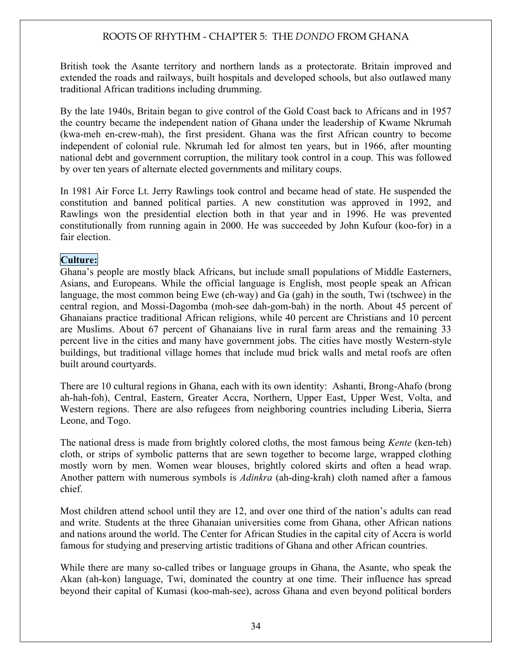British took the Asante territory and northern lands as a protectorate. Britain improved and extended the roads and railways, built hospitals and developed schools, but also outlawed many traditional African traditions including drumming.

By the late 1940s, Britain began to give control of the Gold Coast back to Africans and in 1957 the country became the independent nation of Ghana under the leadership of Kwame Nkrumah (kwa-meh en-crew-mah), the first president. Ghana was the first African country to become independent of colonial rule. Nkrumah led for almost ten years, but in 1966, after mounting national debt and government corruption, the military took control in a coup. This was followed by over ten years of alternate elected governments and military coups.

In 1981 Air Force Lt. Jerry Rawlings took control and became head of state. He suspended the constitution and banned political parties. A new constitution was approved in 1992, and Rawlings won the presidential election both in that year and in 1996. He was prevented constitutionally from running again in 2000. He was succeeded by John Kufour (koo-for) in a fair election.

#### Culture:

Ghana's people are mostly black Africans, but include small populations of Middle Easterners, Asians, and Europeans. While the official language is English, most people speak an African language, the most common being Ewe (eh-way) and Ga (gah) in the south, Twi (tschwee) in the central region, and Mossi-Dagomba (moh-see dah-gom-bah) in the north. About 45 percent of Ghanaians practice traditional African religions, while 40 percent are Christians and 10 percent are Muslims. About 67 percent of Ghanaians live in rural farm areas and the remaining 33 percent live in the cities and many have government jobs. The cities have mostly Western-style buildings, but traditional village homes that include mud brick walls and metal roofs are often built around courtyards.

There are 10 cultural regions in Ghana, each with its own identity: Ashanti, Brong-Ahafo (brong ah-hah-foh), Central, Eastern, Greater Accra, Northern, Upper East, Upper West, Volta, and Western regions. There are also refugees from neighboring countries including Liberia, Sierra Leone, and Togo.

The national dress is made from brightly colored cloths, the most famous being *Kente* (ken-teh) cloth, or strips of symbolic patterns that are sewn together to become large, wrapped clothing mostly worn by men. Women wear blouses, brightly colored skirts and often a head wrap. Another pattern with numerous symbols is *Adinkra* (ah-ding-krah) cloth named after a famous chief.

Most children attend school until they are 12, and over one third of the nation's adults can read and write. Students at the three Ghanaian universities come from Ghana, other African nations and nations around the world. The Center for African Studies in the capital city of Accra is world famous for studying and preserving artistic traditions of Ghana and other African countries.

While there are many so-called tribes or language groups in Ghana, the Asante, who speak the Akan (ah-kon) language, Twi, dominated the country at one time. Their influence has spread beyond their capital of Kumasi (koo-mah-see), across Ghana and even beyond political borders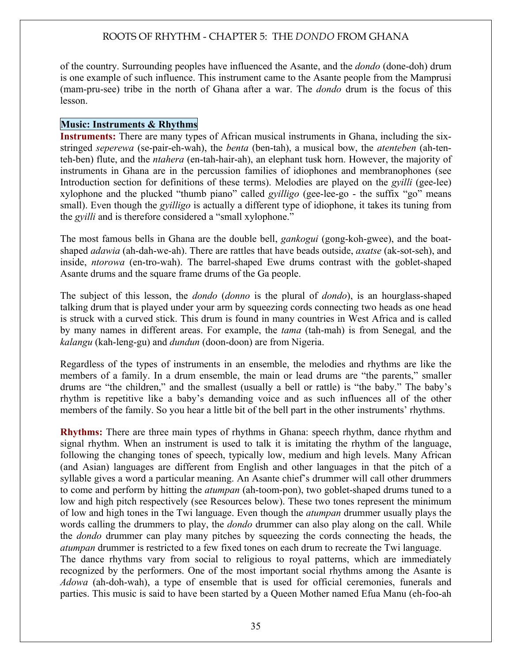of the country. Surrounding peoples have influenced the Asante, and the *dondo* (done-doh) drum is one example of such influence. This instrument came to the Asante people from the Mamprusi (mam-pru-see) tribe in the north of Ghana after a war. The *dondo* drum is the focus of this lesson.

#### Music: Instruments & Rhythms

Instruments: There are many types of African musical instruments in Ghana, including the sixstringed *seperewa* (se-pair-eh-wah), the *benta* (ben-tah), a musical bow, the *atenteben* (ah-tenteh-ben) flute, and the *ntahera* (en-tah-hair-ah), an elephant tusk horn. However, the majority of instruments in Ghana are in the percussion families of idiophones and membranophones (see Introduction section for definitions of these terms). Melodies are played on the *gyilli* (gee-lee) xylophone and the plucked "thumb piano" called *gyilligo* (gee-lee-go - the suffix "go" means small). Even though the *gyilligo* is actually a different type of idiophone, it takes its tuning from the *gyilli* and is therefore considered a "small xylophone."

The most famous bells in Ghana are the double bell, *gankogui* (gong-koh-gwee), and the boatshaped *adawia* (ah-dah-we-ah). There are rattles that have beads outside, *axatse* (ak-sot-seh), and inside, *ntorowa* (en-tro-wah). The barrel-shaped Ewe drums contrast with the goblet-shaped Asante drums and the square frame drums of the Ga people.

The subject of this lesson, the *dondo* (*donno* is the plural of *dondo*), is an hourglass-shaped talking drum that is played under your arm by squeezing cords connecting two heads as one head is struck with a curved stick. This drum is found in many countries in West Africa and is called by many names in different areas. For example, the *tama* (tah-mah) is from Senegal*,* and the *kalangu* (kah-leng-gu) and *dundun* (doon-doon) are from Nigeria.

Regardless of the types of instruments in an ensemble, the melodies and rhythms are like the members of a family. In a drum ensemble, the main or lead drums are "the parents," smaller drums are "the children," and the smallest (usually a bell or rattle) is "the baby." The baby's rhythm is repetitive like a baby's demanding voice and as such influences all of the other members of the family. So you hear a little bit of the bell part in the other instruments' rhythms.

Rhythms: There are three main types of rhythms in Ghana: speech rhythm, dance rhythm and signal rhythm. When an instrument is used to talk it is imitating the rhythm of the language, following the changing tones of speech, typically low, medium and high levels. Many African (and Asian) languages are different from English and other languages in that the pitch of a syllable gives a word a particular meaning. An Asante chief's drummer will call other drummers to come and perform by hitting the *atumpan* (ah-toom-pon), two goblet-shaped drums tuned to a low and high pitch respectively (see Resources below). These two tones represent the minimum of low and high tones in the Twi language. Even though the *atumpan* drummer usually plays the words calling the drummers to play, the *dondo* drummer can also play along on the call. While the *dondo* drummer can play many pitches by squeezing the cords connecting the heads, the *atumpan* drummer is restricted to a few fixed tones on each drum to recreate the Twi language.

The dance rhythms vary from social to religious to royal patterns, which are immediately recognized by the performers. One of the most important social rhythms among the Asante is *Adowa* (ah-doh-wah), a type of ensemble that is used for official ceremonies, funerals and parties. This music is said to have been started by a Queen Mother named Efua Manu (eh-foo-ah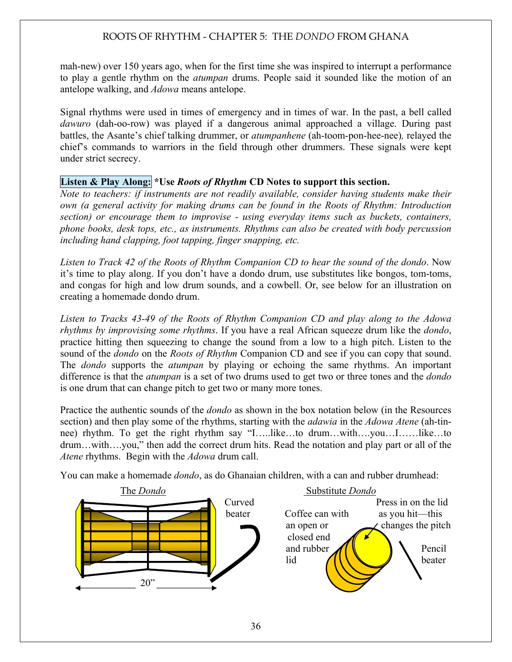mah-new) over 150 years ago, when for the first time she was inspired to interrupt a performance to play a gentle rhythm on the *atumpan* drums. People said it sounded like the motion of an antelope walking, and *Adowa* means antelope.

Signal rhythms were used in times of emergency and in times of war. In the past, a bell called *dawuro* (dah-oo-row) was played if a dangerous animal approached a village. During past battles, the Asante's chief talking drummer, or *atumpanhene* (ah-toom-pon-hee-nee)*,* relayed the chief's commands to warriors in the field through other drummers. These signals were kept under strict secrecy.

#### Listen & Play Along: \*Use *Roots of Rhythm* CD Notes to support this section.

*Note to teachers: if instruments are not readily available, consider having students make their own (a general activity for making drums can be found in the Roots of Rhythm: Introduction section) or encourage them to improvise - using everyday items such as buckets, containers, phone books, desk tops, etc., as instruments. Rhythms can also be created with body percussion including hand clapping, foot tapping, finger snapping, etc.* 

*Listen to Track 42 of the Roots of Rhythm Companion CD to hear the sound of the dondo*. Now it's time to play along. If you don't have a dondo drum, use substitutes like bongos, tom-toms, and congas for high and low drum sounds, and a cowbell. Or, see below for an illustration on creating a homemade dondo drum.

*Listen to Tracks 43-49 of the Roots of Rhythm Companion CD and play along to the Adowa rhythms by improvising some rhythms*. If you have a real African squeeze drum like the *dondo*, practice hitting then squeezing to change the sound from a low to a high pitch. Listen to the sound of the *dondo* on the *Roots of Rhythm* Companion CD and see if you can copy that sound. The *dondo* supports the *atumpan* by playing or echoing the same rhythms. An important difference is that the *atumpan* is a set of two drums used to get two or three tones and the *dondo* is one drum that can change pitch to get two or many more tones.

Practice the authentic sounds of the *dondo* as shown in the box notation below (in the Resources section) and then play some of the rhythms, starting with the *adawia* in the *Adowa Atene* (ah-tinnee) rhythm. To get the right rhythm say "I…..like…to drum…with….you…I……like…to drum…with….you," then add the correct drum hits. Read the notation and play part or all of the *Atene* rhythms. Begin with the *Adowa* drum call.

You can make a homemade *dondo*, as do Ghanaian children, with a can and rubber drumhead:

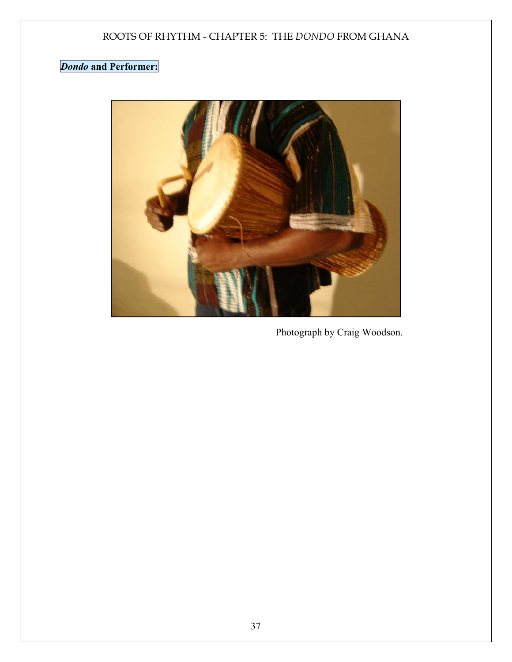# *Dondo* and Performer:



Photograph by Craig Woodson.